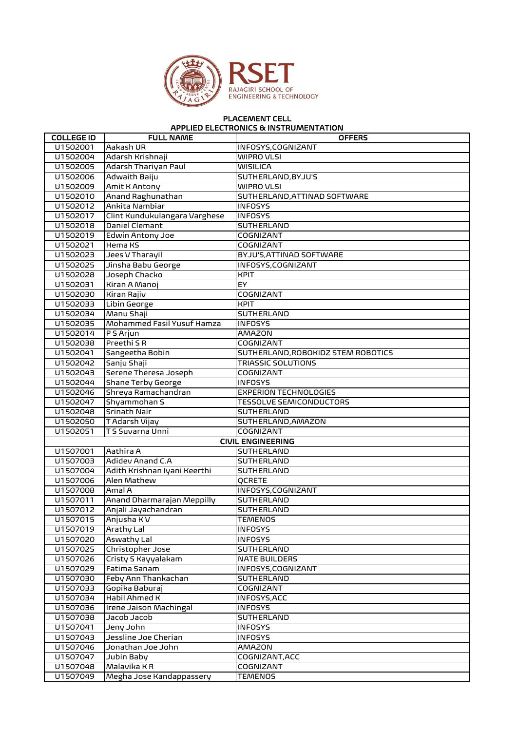

## PLACEMENT CELL APPLIED ELECTRONICS & INSTRUMENTATION

| <b>COLLEGE ID</b> | <b>FULL NAME</b>              | <b>OFFERS</b>                      |
|-------------------|-------------------------------|------------------------------------|
| U1502001          | Aakash UR                     | INFOSYS, COGNIZANT                 |
| U1502004          | Adarsh Krishnaji              | <b>WIPRO VLSI</b>                  |
| U1502005          | Adarsh Thariyan Paul          | <b>WISILICA</b>                    |
| U1502006          | Adwaith Baiju                 | SUTHERLAND, BYJU'S                 |
| U1502009          | Amit K Antony                 | <b>WIPRO VLSI</b>                  |
| U1502010          | Anand Raghunathan             | SUTHERLAND, ATTINAD SOFTWARE       |
| U1502012          | Ankita Nambiar                | <b>INFOSYS</b>                     |
| U1502017          | Clint Kundukulangara Varghese | <b>INFOSYS</b>                     |
| U1502018          | Daniel Clemant                | <b>SUTHERLAND</b>                  |
| U1502019          | <b>Edwin Antony Joe</b>       | COGNIZANT                          |
| U1502021          | Hema KS                       | COGNIZANT                          |
| U1502023          | Jees V Tharayil               | BYJU'S, ATTINAD SOFTWARE           |
| U1502025          | Jinsha Babu George            | INFOSYS, COGNIZANT                 |
| U1502028          | Joseph Chacko                 | <b>KPIT</b>                        |
| U1502031          | Kiran A Manoj                 | EY.                                |
| U1502030          | Kiran Rajiv                   | <b>COGNIZANT</b>                   |
| U1502033          | Libin George                  | <b>KPIT</b>                        |
| U1502034          | Manu Shaji                    | SUTHERLAND                         |
| U1502035          | Mohammed Fasil Yusuf Hamza    | <b>INFOSYS</b>                     |
| U1502014          | P S Arjun                     | <b>AMAZON</b>                      |
| U1502038          | Preethi S R                   | <b>COGNIZANT</b>                   |
| U1502041          | Sangeetha Bobin               | SUTHERLAND, ROBOKIDZ STEM ROBOTICS |
| U1502042          | Sanju Shaji                   | <b>TRIASSIC SOLUTIONS</b>          |
| U1502043          | Serene Theresa Joseph         | COGNIZANT                          |
| U1502044          | <b>Shane Terby George</b>     | <b>INFOSYS</b>                     |
| U1502046          | Shreya Ramachandran           | <b>EXPERION TECHNOLOGIES</b>       |
| U1502047          | Shyammohan S                  | <b>TESSOLVE SEMICONDUCTORS</b>     |
| U1502048          | <b>Srinath Nair</b>           | <b>SUTHERLAND</b>                  |
| U1502050          | T Adarsh Vijay                | SUTHERLAND, AMAZON                 |
| U1502051          | T S Suvarna Unni              | <b>COGNIZANT</b>                   |
|                   |                               | <b>CIVIL ENGINEERING</b>           |
| U1507001          | Aathira A                     | SUTHERLAND                         |
| U1507003          | Adidev Anand C.A              | SUTHERLAND                         |
| U1507004          | Adith Krishnan Iyani Keerthi  | SUTHERLAND                         |
| U1507006          | Alen Mathew                   | QCRETE                             |
| U1507008          | Amal A                        | INFOSYS, COGNIZANT                 |
| U1507011          | Anand Dharmarajan Meppilly    | SUTHERLAND                         |
| U1507012          | Anjali Jayachandran           | <b>SUTHERLAND</b>                  |
| U1507015          | Anjusha K V                   | <b>TEMENOS</b>                     |
| U1507019          | Arathy Lal                    | <b>INFOSYS</b>                     |
| U1507020          | <b>Aswathy Lal</b>            | <b>INFOSYS</b>                     |
| U1507025          | Christopher Jose              | SUTHERLAND                         |
| U1507026          | Cristy S Kayyalakam           | <b>NATE BUILDERS</b>               |
| U1507029          | Fatima Sanam                  | INFOSYS, COGNIZANT                 |
| U1507030          | Feby Ann Thankachan           | SUTHERLAND                         |
| U1507033          | Gopika Baburaj                | COGNIZANT                          |
| U1507034          | Habil Ahmed K                 | INFOSYS, ACC                       |
| U1507036          | <b>Irene Jaison Machingal</b> | <b>INFOSYS</b>                     |
| U1507038          | Jacob Jacob                   | SUTHERLAND                         |
| U1507041          | Jeny John                     | <b>INFOSYS</b>                     |
| U1507043          | Jessline Joe Cherian          | <b>INFOSYS</b>                     |
| U1507046          | Jonathan Joe John             | AMAZON                             |
| U1507047          | Jubin Baby                    | COGNIZANT, ACC                     |
| U1507048          | Malavika KR                   | COGNIZANT                          |
| U1507049          | Megha Jose Kandappassery      | <b>TEMENOS</b>                     |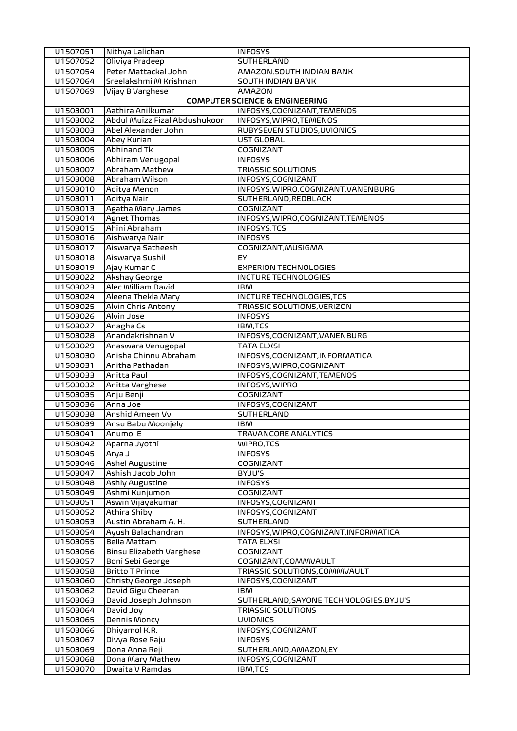| U1507051             | Nithya Lalichan                             | <b>INFOSYS</b>                                                       |
|----------------------|---------------------------------------------|----------------------------------------------------------------------|
| U1507052             | Oliviya Pradeep                             | SUTHERLAND                                                           |
| U1507054             | Peter Mattackal John                        | AMAZON.SOUTH INDIAN BANK                                             |
| U1507064             | Sreelakshmi M Krishnan                      | <b>SOUTH INDIAN BANK</b>                                             |
| U1507069             | Vijay B Varghese                            | <b>AMAZON</b>                                                        |
|                      |                                             | <b>COMPUTER SCIENCE &amp; ENGINEERING</b>                            |
| U1503001             | Aathira Anilkumar                           | INFOSYS, COGNIZANT, TEMENOS                                          |
| U1503002             | Abdul Muizz Fizal Abdushukoor               | INFOSYS, WIPRO, TEMENOS                                              |
| U1503003             | Abel Alexander John                         | RUBYSEVEN STUDIOS, UVIONICS                                          |
| U1503004             | Abey Kurian                                 | UST GLOBAL                                                           |
| U1503005             | <b>Abhinand Tk</b>                          | COGNIZANT                                                            |
| U1503006             | Abhiram Venugopal                           | <b>INFOSYS</b>                                                       |
| U1503007             | Abraham Mathew                              | <b>TRIASSIC SOLUTIONS</b>                                            |
| U1503008             | Abraham Wilson                              | INFOSYS, COGNIZANT                                                   |
| U1503010             | Aditya Menon                                | INFOSYS, WIPRO, COGNIZANT, VANENBURG                                 |
| U1503011             | Aditya Nair                                 | SUTHERLAND, REDBLACK                                                 |
| U1503013             | Agatha Mary James                           | COGNIZANT                                                            |
| U1503014             | <b>Agnet Thomas</b>                         | INFOSYS, WIPRO, COGNIZANT, TEMENOS                                   |
| U1503015             | Ahini Abraham                               | INFOSYS, TCS                                                         |
| U1503016             | Aishwarya Nair                              | <b>INFOSYS</b>                                                       |
| U1503017             | Aiswarya Satheesh                           | COGNIZANT, MUSIGMA                                                   |
| U1503018             | Aiswarya Sushil                             | EY.                                                                  |
| U1503019             | Ajay Kumar C                                | <b>EXPERION TECHNOLOGIES</b>                                         |
| U1503022             | Akshay George                               | INCTURE TECHNOLOGIES                                                 |
| U1503023             | Alec William David                          | <b>IBM</b>                                                           |
| U1503024             | Aleena Thekla Mary                          | INCTURE TECHNOLOGIES, TCS                                            |
| U1503025             | Alvin Chris Antony                          | TRIASSIC SOLUTIONS, VERIZON                                          |
| U1503026             | Alvin Jose                                  | <b>INFOSYS</b>                                                       |
| U1503027             | Anagha Cs                                   | IBM,TCS                                                              |
| U1503028             | Anandakrishnan V                            | INFOSYS, COGNIZANT, VANENBURG                                        |
| U1503029             | Anaswara Venugopal                          | <b>TATA ELXSI</b>                                                    |
| U1503030             | Anisha Chinnu Abraham                       | INFOSYS, COGNIZANT, INFORMATICA                                      |
| U1503031             | Anitha Pathadan                             | INFOSYS, WIPRO, COGNIZANT                                            |
| U1503033             | Anitta Paul                                 | INFOSYS, COGNIZANT, TEMENOS                                          |
| U1503032             | Anitta Varghese                             | INFOSYS, WIPRO                                                       |
| U1503035             | Anju Benji<br>Anna Joe                      | COGNIZANT<br>INFOSYS, COGNIZANT                                      |
| U1503036<br>U1503038 | Anshid Ameen Vv                             | SUTHERLAND                                                           |
| U1503039             | Ansu Babu Moonjely                          | <b>IBM</b>                                                           |
| U1503041             | Anumol E                                    | <b>TRAVANCORE ANALYTICS</b>                                          |
| U1503042             | Aparna Jyothi                               | WIPRO, TCS                                                           |
| U1503045             | Arya J                                      | <b>INFOSYS</b>                                                       |
| U1503046             | <b>Ashel Augustine</b>                      | COGNIZANT                                                            |
| U1503047             | Ashish Jacob John                           | BYJU'S                                                               |
| U1503048             | <b>Ashly Augustine</b>                      | <b>INFOSYS</b>                                                       |
| U1503049             | Ashmi Kunjumon                              | COGNIZANT                                                            |
| U1503051             | Aswin Vijayakumar                           | INFOSYS, COGNIZANT                                                   |
| U1503052             | Athira Shiby                                | INFOSYS, COGNIZANT                                                   |
| U1503053             | Austin Abraham A. H.                        | SUTHERLAND                                                           |
| U1503054             | Ayush Balachandran                          | INFOSYS, WIPRO, COGNIZANT, INFORMATICA                               |
| U1503055             | Bella Mattam                                | TATA ELXSI                                                           |
| U1503056             | Binsu Elizabeth Varghese                    | COGNIZANT                                                            |
| U1503057             | Boni Sebi George                            | COGNIZANT, COMMVAULT                                                 |
| U1503058             |                                             |                                                                      |
| U1503060             | <b>Britto T Prince</b>                      | TRIASSIC SOLUTIONS,COMMVAULT                                         |
|                      |                                             | INFOSYS, COGNIZANT                                                   |
| U1503062             | Christy George Joseph<br>David Gigu Cheeran | <b>IBM</b>                                                           |
| U1503063             |                                             |                                                                      |
| U1503064             | David Joseph Johnson<br>David Joy           | SUTHERLAND, SAYONE TECHNOLOGIES, BYJU'S<br><b>TRIASSIC SOLUTIONS</b> |
| U1503065             | Dennis Moncy                                | <b>UVIONICS</b>                                                      |
| U1503066             | Dhiyamol K.R.                               | INFOSYS, COGNIZANT                                                   |
| U1503067             | Divya Rose Raju                             | <b>INFOSYS</b>                                                       |
| U1503069             | Dona Anna Reji                              | SUTHERLAND, AMAZON, EY                                               |
| U1503068             | Dona Mary Mathew                            | INFOSYS, COGNIZANT                                                   |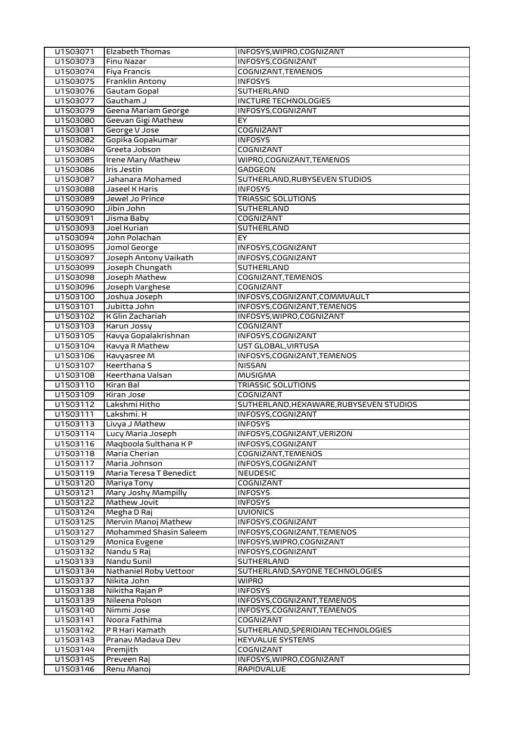| U1503071             | <b>Elzabeth Thomas</b>    | INFOSYS, WIPRO, COGNIZANT               |
|----------------------|---------------------------|-----------------------------------------|
| U1503073             | Finu Nazar                | INFOSYS, COGNIZANT                      |
| U1503074             | <b>Fiya Francis</b>       | COGNIZANT, TEMENOS                      |
| U1503075             | Franklin Antony           | <b>INFOSYS</b>                          |
| U1503076             | Gautam Gopal              | SUTHERLAND                              |
| U1503077             | Gautham J                 | INCTURE TECHNOLOGIES                    |
| U1503079             | Geena Mariam George       | INFOSYS, COGNIZANT                      |
| U1503080             | Geevan Gigi Mathew        | EY                                      |
| U1503081             | George V Jose             | <b>COGNIZANT</b>                        |
| U1503082             | Gopika Gopakumar          | <b>INFOSYS</b>                          |
| U1503084             | Greeta Jobson             | COGNIZANT                               |
| U1503085             | <b>Irene Mary Mathew</b>  | WIPRO,COGNIZANT,TEMENOS                 |
| U1503086             | <b>Iris Jestin</b>        | GADGEON                                 |
| U1503087             | Jahanara Mohamed          | SUTHERLAND, RUBYSEVEN STUDIOS           |
| U1503088             | Jaseel K Haris            | <b>INFOSYS</b>                          |
| U1503089             | Jewel Jo Prince           | <b>TRIASSIC SOLUTIONS</b>               |
| U1503090             | Jibin John                | SUTHERLAND                              |
| U1503091             |                           | COGNIZANT                               |
| U1503093             | Jisma Baby<br>Joel Kurian |                                         |
|                      |                           | SUTHERLAND                              |
| u1503094             | John Polachan             | EY.                                     |
| U1503095             | Jomol George              | INFOSYS, COGNIZANT                      |
| U1503097             | Joseph Antony Vaikath     | INFOSYS, COGNIZANT                      |
| U1503099             | Joseph Chungath           | <b>SUTHERLAND</b>                       |
| U1503098             | Joseph Mathew             | COGNIZANT, TEMENOS                      |
| U1503096             | Joseph Varghese           | COGNIZANT                               |
| U1503100             | Joshua Joseph             | INFOSYS, COGNIZANT, COMMVAULT           |
| U1503101             | Jubitta John              | INFOSYS, COGNIZANT, TEMENOS             |
| U1503102             | K Glin Zachariah          | INFOSYS, WIPRO, COGNIZANT               |
| U1503103             | Karun Jossy               | COGNIZANT                               |
| U1503105             | Kavya Gopalakrishnan      | INFOSYS, COGNIZANT                      |
| U1503104             | Kavya R Mathew            | UST GLOBAL, VIRTUSA                     |
| U1503106             | Kavyasree M               | INFOSYS, COGNIZANT, TEMENOS             |
| U1503107             | Keerthana S               | <b>NISSAN</b>                           |
| U1503108             | Keerthana Valsan          | <b>MUSIGMA</b>                          |
| U1503110             | Kiran Bal                 | <b>TRIASSIC SOLUTIONS</b>               |
| U1503109             | Kiran Jose                | COGNIZANT                               |
| U1503112             | Lakshmi Hitho             | SUTHERLAND, HEXAWARE, RUBYSEVEN STUDIOS |
| U1503111             | Lakshmi. H                | INFOSYS, COGNIZANT                      |
| U1503113             | Livya J Mathew            | <b>INFOSYS</b>                          |
| U1503114             | Lucy Maria Joseph         | INFOSYS, COGNIZANT, VERIZON             |
| U1503116             | Maqboola Sulthana KP      | INFOSYS, COGNIZANT                      |
| U1503118             | Maria Cherian             | COGNIZANT, TEMENOS                      |
| U1503117             | Maria Johnson             | INFOSYS, COGNIZANT                      |
| U1503119             | Maria Teresa T Benedict   | <b>NEUDESIC</b>                         |
| U1503120             | Mariya Tony               |                                         |
| U1503121             |                           | COGNIZANT                               |
|                      | Mary Joshy Mampilly       |                                         |
|                      |                           | <b>INFOSYS</b>                          |
| U1503122             | Mathew Jovit              | <b>INFOSYS</b>                          |
| U1503124             | Megha D Raj               | <b>UVIONICS</b>                         |
| U1503125             | Mervin Manoj Mathew       | INFOSYS, COGNIZANT                      |
| U1503127             | Mohammed Shasin Saleem    | INFOSYS, COGNIZANT, TEMENOS             |
| U1503129             | Monica Evgene             | INFOSYS, WIPRO, COGNIZANT               |
| U1503132             | Nandu S Raj               | INFOSYS, COGNIZANT                      |
| u1503133             | Nandu Sunil               | SUTHERLAND                              |
| U1503134             | Nathaniel Roby Vettoor    | SUTHERLAND, SAYONE TECHNOLOGIES         |
| U1503137             | Nikita John               | <b>WIPRO</b>                            |
| U1503138             | Nikitha Rajan P           | <b>INFOSYS</b>                          |
| U1503139             | Nileena Polson            | INFOSYS, COGNIZANT, TEMENOS             |
| U1503140             | Nimmi Jose                | INFOSYS, COGNIZANT, TEMENOS             |
| U1503141             | Noora Fathima             | COGNIZANT                               |
| U1503142             | P R Hari Kamath           | SUTHERLAND, SPERIDIAN TECHNOLOGIES      |
| U1503143             | Pranav Madava Dev         | <b>KEYVALUE SYSTEMS</b>                 |
| U1503144             | Premjith                  | COGNIZANT                               |
| U1503145<br>U1503146 | Preveen Raj<br>Renu Manoj | INFOSYS, WIPRO, COGNIZANT<br>RAPIDVALUE |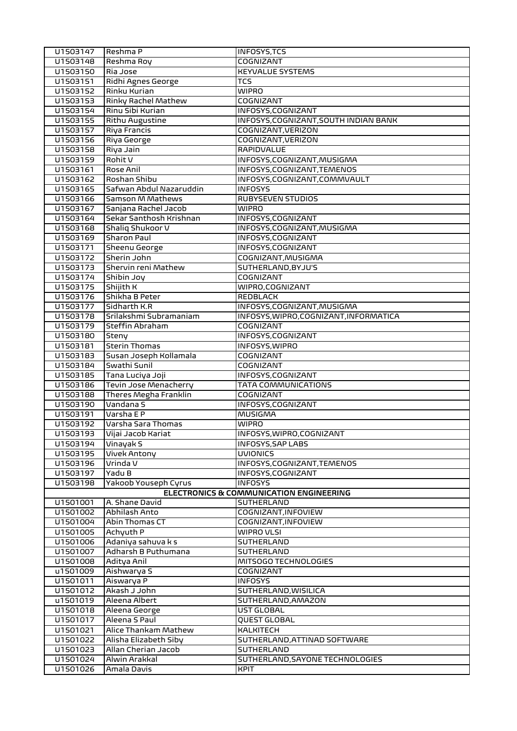| U1503147             | Reshma P                 | <b>INFOSYS, TCS</b>                            |
|----------------------|--------------------------|------------------------------------------------|
| U1503148             | Reshma Roy               | COGNIZANT                                      |
| U1503150             | Ria Jose                 | <b>KEYVALUE SYSTEMS</b>                        |
| U1503151             | Ridhi Agnes George       | TCS                                            |
| U1503152             | Rinku Kurian             | <b>WIPRO</b>                                   |
| U1503153             | Rinky Rachel Mathew      | COGNIZANT                                      |
| U1503154             | Rinu Sibi Kurian         | INFOSYS, COGNIZANT                             |
| U1503155             | <b>Rithu Augustine</b>   | INFOSYS, COGNIZANT, SOUTH INDIAN BANK          |
| U1503157             | <b>Riya Francis</b>      | COGNIZANT, VERIZON                             |
| U1503156             | Riya George              | COGNIZANT, VERIZON                             |
| U1503158             | Riya Jain                | <b>RAPIDVALUE</b>                              |
| U1503159             | Rohit V                  | INFOSYS, COGNIZANT, MUSIGMA                    |
| U1503161             | Rose Anil                | INFOSYS, COGNIZANT, TEMENOS                    |
| U1503162             | Roshan Shibu             | INFOSYS, COGNIZANT, COMMVAULT                  |
| U1503165             | Safwan Abdul Nazaruddin  | <b>INFOSYS</b>                                 |
| U1503166             | Samson M Mathews         | RUBYSEVEN STUDIOS                              |
| U1503167             | Sanjana Rachel Jacob     | <b>WIPRO</b>                                   |
| U1503164             | Sekar Santhosh Krishnan  | INFOSYS, COGNIZANT                             |
| U1503168             | Shaliq Shukoor V         | INFOSYS, COGNIZANT, MUSIGMA                    |
| U1503169             | <b>Sharon Paul</b>       | INFOSYS, COGNIZANT                             |
| U1503171             | Sheenu George            | INFOSYS, COGNIZANT                             |
| U1503172             | Sherin John              | COGNIZANT, MUSIGMA                             |
| U1503173             | Shervin reni Mathew      | SUTHERLAND, BYJU'S                             |
| U1503174             | Shibin Joy               | COGNIZANT                                      |
| U1503175             | Shijith K                | WIPRO, COGNIZANT                               |
| U1503176             | Shikha B Peter           | <b>REDBLACK</b>                                |
| U1503177             | Sidharth K.R             | INFOSYS, COGNIZANT, MUSIGMA                    |
| U1503178             | Srilakshmi Subramaniam   | INFOSYS, WIPRO, COGNIZANT, INFORMATICA         |
| U1503179             | Steffin Abraham          | COGNIZANT                                      |
| U1503180             | Steny                    | INFOSYS, COGNIZANT                             |
| U1503181             | <b>Sterin Thomas</b>     | INFOSYS, WIPRO                                 |
| U1503183             | Susan Joseph Kollamala   | COGNIZANT                                      |
| U1503184             | Swathi Sunil             | COGNIZANT                                      |
| U1503185             | Tana Luciya Joji         | INFOSYS, COGNIZANT                             |
| U1503186             | Tevin Jose Menacherry    | <b>TATA COMMUNICATIONS</b>                     |
| U1503188             | Theres Megha Franklin    | COGNIZANT                                      |
| U1503190             | Vandana S                | INFOSYS, COGNIZANT                             |
| U1503191             | Varsha E P               | <b>MUSIGMA</b>                                 |
| U1503192             | Varsha Sara Thomas       | <b>WIPRO</b>                                   |
| U1503193             | Vijai Jacob Kariat       | INFOSYS, WIPRO, COGNIZANT                      |
| U1503194             | Vinayak S                | <b>INFOSYS, SAP LABS</b>                       |
| U1503195<br>U1503196 | Vivek Antony<br>Vrinda V | <b>UVIONICS</b><br>INFOSYS, COGNIZANT, TEMENOS |
| U1503197             | Yadu B                   | INFOSYS, COGNIZANT                             |
|                      | Yakoob Youseph Cyrus     | <b>INFOSYS</b>                                 |
| U1503198             |                          | ELECTRONICS & COMMUNICATION ENGINEERING        |
| U1501001             | A. Shane David           | SUTHERLAND                                     |
| U1501002             | Abhilash Anto            | COGNIZANT, INFOVIEW                            |
| U1501004             | Abin Thomas CT           | COGNIZANT, INFOVIEW                            |
| U1501005             | Achyuth P                | WIPRO VLSI                                     |
| U1501006             | Adaniya sahuva k s       | SUTHERLAND                                     |
| U1501007             | Adharsh B Puthumana      | SUTHERLAND                                     |
| U1501008             | Aditya Anil              | MITSOGO TECHNOLOGIES                           |
| u1501009             | Aishwarya S              | COGNIZANT                                      |
| U1501011             | Aiswarya P               | <b>INFOSYS</b>                                 |
| U1501012             | Akash J John             | SUTHERLAND, WISILICA                           |
| u1501019             | Aleena Albert            | SUTHERLAND, AMAZON                             |
| U1501018             | Aleena George            | UST GLOBAL                                     |
| U1501017             | Aleena S Paul            | QUEST GLOBAL                                   |
| U1501021             | Alice Thankam Mathew     | <b>KALKITECH</b>                               |
| U1501022             | Alisha Elizabeth Siby    | SUTHERLAND, ATTINAD SOFTWARE                   |
| U1501023             | Allan Cherian Jacob      | SUTHERLAND                                     |
| U1501024             | Alwin Arakkal            | SUTHERLAND, SAYONE TECHNOLOGIES                |
| U1501026             | Amala Davis              | <b>KPIT</b>                                    |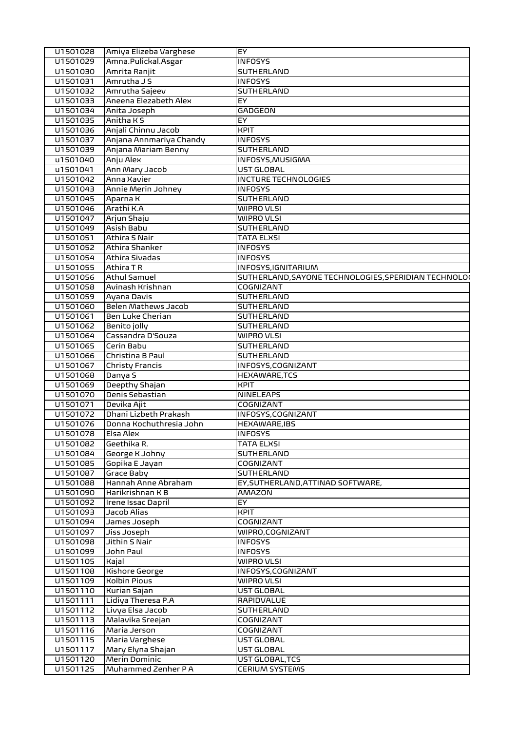| U1501028             | Amiya Elizeba Varghese              | EY                                                   |
|----------------------|-------------------------------------|------------------------------------------------------|
| U1501029             | Amna.Pulickal.Asgar                 | <b>INFOSYS</b>                                       |
| U1501030             | Amrita Ranjit                       | SUTHERLAND                                           |
| U1501031             | Amrutha J S                         | <b>INFOSYS</b>                                       |
| U1501032             | Amrutha Sajeev                      | SUTHERLAND                                           |
| U1501033             | Aneena Elezabeth Alex               | EY                                                   |
| U1501034             | Anita Joseph                        | GADGEON                                              |
| U1501035             | Anitha K S                          | EY                                                   |
| U1501036             | Anjali Chinnu Jacob                 | <b>KPIT</b>                                          |
| U1501037             | Anjana Annmariya Chandy             | <b>INFOSYS</b>                                       |
| U1501039             | Anjana Mariam Benny                 | <b>SUTHERLAND</b>                                    |
| u1501040             | Anju Alex                           | INFOSYS, MUSIGMA                                     |
| u1501041             | Ann Mary Jacob                      | UST GLOBAL                                           |
| U1501042             | Anna Xavier                         | <b>INCTURE TECHNOLOGIES</b>                          |
| U1501043             | Annie Merin Johney                  | <b>INFOSYS</b>                                       |
| U1501045             | Aparna K                            | SUTHERLAND                                           |
| U1501046             | Arathi K.A                          | WIPRO VLSI                                           |
| U1501047             | Arjun Shaju                         | WIPRO VLSI                                           |
| U1501049             | Asish Babu                          | <b>SUTHERLAND</b>                                    |
| U1501051             | Athira S Nair                       | <b>TATA ELXSI</b>                                    |
| U1501052             | Athira Shanker                      | <b>INFOSYS</b>                                       |
| U1501054             | Athira Sivadas                      | <b>INFOSYS</b>                                       |
| U1501055             | Athira TR                           |                                                      |
|                      |                                     | INFOSYS, IGNITARIUM                                  |
| U1501056             | Athul Samuel                        | SUTHERLAND, SAYONE TECHNOLOGIES, SPERIDIAN TECHNOLO( |
| U1501058             | Avinash Krishnan                    | COGNIZANT                                            |
| U1501059             | Ayana Davis                         | SUTHERLAND                                           |
| U1501060             | <b>Belen Mathews Jacob</b>          | <b>SUTHERLAND</b>                                    |
| U1501061             | Ben Luke Cherian                    | SUTHERLAND                                           |
| U1501062             | Benito jolly                        | <b>SUTHERLAND</b>                                    |
| U1501064             | Cassandra D'Souza                   | <b>WIPRO VLSI</b>                                    |
| U1501065             | Cerin Babu                          | <b>SUTHERLAND</b>                                    |
| U1501066             | Christina B Paul                    | <b>SUTHERLAND</b>                                    |
| U1501067             | Christy Francis                     | INFOSYS, COGNIZANT                                   |
| U1501068             | Danya S                             | <b>HEXAWARE,TCS</b>                                  |
| U1501069             | Deepthy Shajan                      | <b>KPIT</b>                                          |
| U1501070             | Denis Sebastian                     | <b>NINELEAPS</b>                                     |
| U1501071             | Devika Ajit                         | <b>COGNIZANT</b>                                     |
| U1501072             | Dhani Lizbeth Prakash               | INFOSYS, COGNIZANT                                   |
| U1501076             | Donna Kochuthresia John             | HEXAWARE, IBS                                        |
| U1501078             | Elsa Alex                           | <b>INFOSYS</b>                                       |
| U1501082             | Geethika R.                         | <b>TATA ELXSI</b>                                    |
| U1501084             | George K Johny                      | SUTHERLAND                                           |
| U1501085             | Gopika E Jayan                      | COGNIZANT                                            |
| U1501087             | <b>Grace Baby</b>                   | SUTHERLAND                                           |
| U1501088             | Hannah Anne Abraham                 | EY, SUTHERLAND, ATTINAD SOFTWARE,                    |
| U1501090             | Harikrishnan K B                    | AMAZON                                               |
| U1501092             | Irene Issac Dapril                  | EY                                                   |
| U1501093             | Jacob Alias                         | <b>KPIT</b>                                          |
| U1501094             | James Joseph                        | COGNIZANT                                            |
| U1501097             | Jiss Joseph                         | WIPRO, COGNIZANT                                     |
| U1501098             | Jithin S Nair                       | <b>INFOSYS</b>                                       |
| U1501099             | John Paul                           | <b>INFOSYS</b>                                       |
| U1501105             | Kajal                               | WIPRO VLSI                                           |
| U1501108             | Kishore George                      | INFOSYS, COGNIZANT                                   |
| U1501109             | <b>Kolbin Pious</b>                 | WIPRO VLSI                                           |
| U1501110             | Kurian Sajan                        | UST GLOBAL                                           |
| U1501111             | Lidiya Theresa P.A                  | RAPIDVALUE                                           |
| U1501112             | Livya Elsa Jacob                    | SUTHERLAND                                           |
|                      | Malavika Sreejan                    |                                                      |
| U1501113<br>U1501116 | Maria Jerson                        | COGNIZANT                                            |
|                      |                                     | COGNIZANT                                            |
| U1501115             | Maria Varghese                      | UST GLOBAL                                           |
| U1501117             | Mary Elyna Shajan                   | UST GLOBAL                                           |
| U1501120             | Merin Dominic<br>Muhammed Zenher PA | UST GLOBAL, TCS                                      |
| U1501125             |                                     | <b>CERIUM SYSTEMS</b>                                |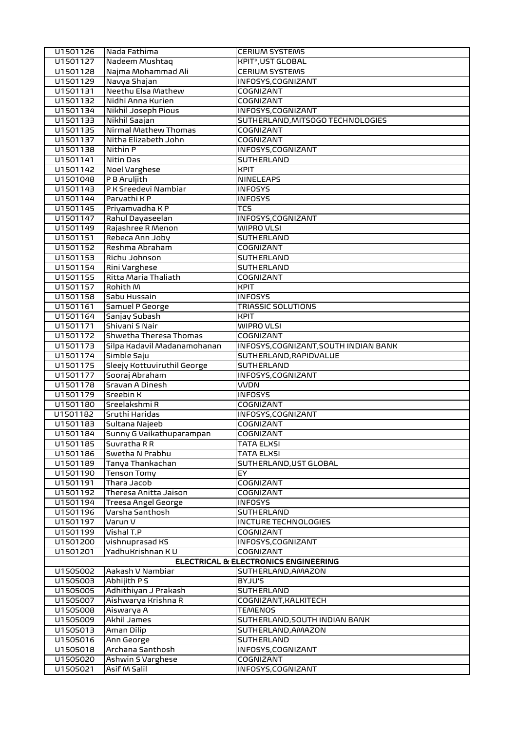| U1501126             | Nada Fathima                             | <b>CERIUM SYSTEMS</b>                  |
|----------------------|------------------------------------------|----------------------------------------|
| U1501127             | Nadeem Mushtag                           | <b>KPIT*, UST GLOBAL</b>               |
| U1501128             | Najma Mohammad Ali                       | <b>CERIUM SYSTEMS</b>                  |
| U1501129             | Navya Shajan                             | INFOSYS, COGNIZANT                     |
| U1501131             | Neethu Elsa Mathew                       | COGNIZANT                              |
| U1501132             | Nidhi Anna Kurien                        | <b>COGNIZANT</b>                       |
| U1501134             | Nikhil Joseph Pious                      | INFOSYS, COGNIZANT                     |
| U1501133             | Nikhil Saajan                            | SUTHERLAND, MITSOGO TECHNOLOGIES       |
| U1501135             | Nirmal Mathew Thomas                     | <b>COGNIZANT</b>                       |
| U1501137             | Nitha Elizabeth John                     | <b>COGNIZANT</b>                       |
| U1501138             | Nithin P                                 | INFOSYS, COGNIZANT                     |
| U1501141             | Nitin Das                                | <b>SUTHERLAND</b>                      |
| U1501142             | Noel Varghese                            | <b>KPIT</b>                            |
| U1501048             | P B Aruljith                             | <b>NINELEAPS</b>                       |
| U1501143             | P K Sreedevi Nambiar                     | <b>INFOSYS</b>                         |
| U1501144             | Parvathi K P                             | <b>INFOSYS</b>                         |
| U1501145             | Priyamvadha KP                           | <b>TCS</b>                             |
| U1501147             | Rahul Dayaseelan                         | INFOSYS, COGNIZANT                     |
| U1501149             | Rajashree R Menon                        | <b>WIPRO VLSI</b>                      |
| U1501151             | Rebeca Ann Joby                          | <b>SUTHERLAND</b>                      |
| U1501152             | Reshma Abraham                           | COGNIZANT                              |
| U1501153             | Richu Johnson                            | <b>SUTHERLAND</b>                      |
| U1501154             | Rini Varghese                            | <b>SUTHERLAND</b>                      |
| U1501155             | Ritta Maria Thaliath                     | COGNIZANT                              |
| U1501157             | Rohith M                                 | <b>KPIT</b>                            |
| U1501158             | Sabu Hussain                             | <b>INFOSYS</b>                         |
| U1501161             | Samuel P George                          | <b>TRIASSIC SOLUTIONS</b>              |
| U1501164             | Sanjay Subash                            | <b>KPIT</b>                            |
| U1501171             | Shivani S Nair                           | <b>WIPRO VLSI</b>                      |
| U1501172             | Shwetha Theresa Thomas                   | COGNIZANT                              |
| U1501173             | Silpa Kadavil Madanamohanan              | INFOSYS, COGNIZANT, SOUTH INDIAN BANK  |
| U1501174             | Simble Saju                              | SUTHERLAND, RAPIDVALUE                 |
| U1501175             | Sleejy Kottuviruthil George              | SUTHERLAND                             |
| U1501177             | Sooraj Abraham                           | INFOSYS, COGNIZANT                     |
| U1501178             | Sravan A Dinesh                          | <b>VVDN</b>                            |
| U1501179             | Sreebin K                                | <b>INFOSYS</b>                         |
| U1501180             | Sreelakshmi R                            | COGNIZANT<br>INFOSYS, COGNIZANT        |
| U1501182<br>U1501183 | Sruthi Haridas                           | COGNIZANT                              |
|                      | Sultana Najeeb                           |                                        |
| U1501184<br>U1501185 | Sunny G Vaikathuparampan<br>Suvratha R R | <b>COGNIZANT</b>                       |
| U1501186             | Swetha N Prabhu                          | <b>TATA ELXSI</b><br><b>TATA ELXSI</b> |
| U1501189             | Tanya Thankachan                         | SUTHERLAND, UST GLOBAL                 |
| U1501190             | <b>Tenson Tomy</b>                       | EY                                     |
| U1501191             | Thara Jacob                              | <b>COGNIZANT</b>                       |
| U1501192             | Theresa Anitta Jaison                    | COGNIZANT                              |
| U1501194             | Treesa Angel George                      | <b>INFOSYS</b>                         |
| U1501196             | Varsha Santhosh                          | SUTHERLAND                             |
| U1501197             | Varun V                                  | INCTURE TECHNOLOGIES                   |
| U1501199             | Vishal T.P                               | COGNIZANT                              |
| U1501200             | vishnuprasad KS                          | INFOSYS, COGNIZANT                     |
| U1501201             | YadhuKrishnan K U                        | <b>COGNIZANT</b>                       |
|                      |                                          | ELECTRICAL & ELECTRONICS ENGINEERING   |
| U1505002             | Aakash V Nambiar                         | SUTHERLAND, AMAZON                     |
| U1505003             | Abhijith P S                             | BYJU'S                                 |
| U1505005             | Adhithiyan J Prakash                     | SUTHERLAND                             |
| U1505007             | Aishwarya Krishna R                      | COGNIZANT, KALKITECH                   |
| U1505008             | Aiswarya A                               | <b>TEMENOS</b>                         |
| U1505009             | Akhil James                              | SUTHERLAND, SOUTH INDIAN BANK          |
| U1505013             | Aman Dilip                               | SUTHERLAND, AMAZON                     |
| U1505016             | Ann George                               | <b>SUTHERLAND</b>                      |
| U1505018             | Archana Santhosh                         | INFOSYS, COGNIZANT                     |
| U1505020             | Ashwin S Varghese                        | COGNIZANT                              |
| U1505021             | Asif M Salil                             | INFOSYS, COGNIZANT                     |
|                      |                                          |                                        |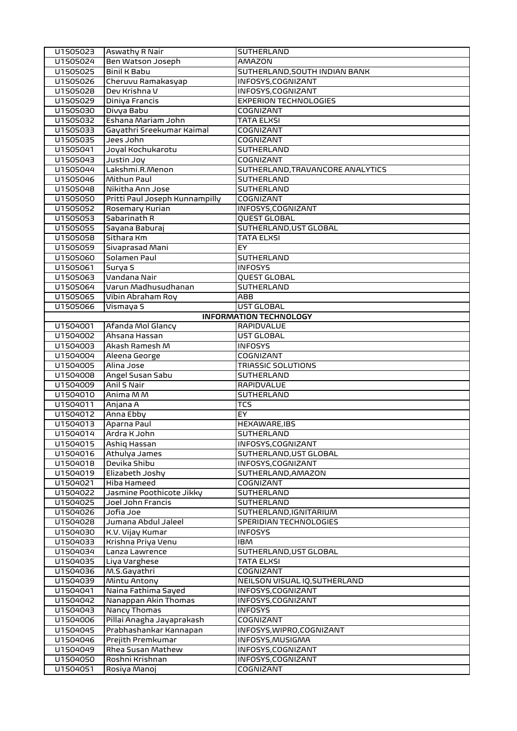| U1505023 | <b>Aswathy R Nair</b>          | <b>SUTHERLAND</b>                |
|----------|--------------------------------|----------------------------------|
| U1505024 | Ben Watson Joseph              | AMAZON                           |
| U1505025 | <b>Binil K Babu</b>            | SUTHERLAND, SOUTH INDIAN BANK    |
| U1505026 | Cheruvu Ramakasyap             | INFOSYS, COGNIZANT               |
| U1505028 | Dev Krishna V                  | INFOSYS, COGNIZANT               |
| U1505029 | Diniya Francis                 | <b>EXPERION TECHNOLOGIES</b>     |
| U1505030 | Divya Babu                     | COGNIZANT                        |
| U1505032 | Eshana Mariam John             | TATA ELXSI                       |
| U1505033 | Gayathri Sreekumar Kaimal      | <b>COGNIZANT</b>                 |
| U1505035 | Jees John                      | <b>COGNIZANT</b>                 |
| U1505041 | Joyal Kochukarotu              | SUTHERLAND                       |
| U1505043 | Justin Joy                     | COGNIZANT                        |
| U1505044 | Lakshmi.R.Menon                | SUTHERLAND, TRAVANCORE ANALYTICS |
| U1505046 | Mithun Paul                    | SUTHERLAND                       |
| U1505048 | Nikitha Ann Jose               | SUTHERLAND                       |
| U1505050 | Pritti Paul Joseph Kunnampilly | COGNIZANT                        |
| U1505052 | Rosemary Kurian                | INFOSYS, COGNIZANT               |
| U1505053 | Sabarinath R                   | <b>QUEST GLOBAL</b>              |
| U1505055 | Sayana Baburaj                 | SUTHERLAND, UST GLOBAL           |
| U1505058 | Sithara Km                     | <b>TATA ELXSI</b>                |
| U1505059 | Sivaprasad Mani                | EY.                              |
| U1505060 | Solamen Paul                   | SUTHERLAND                       |
| U1505061 | Surya S                        | <b>INFOSYS</b>                   |
| U1505063 | Vandana Nair                   | QUEST GLOBAL                     |
| U1505064 | Varun Madhusudhanan            | SUTHERLAND                       |
| U1505065 | Vibin Abraham Roy              | ABB                              |
| U1505066 | Vismaya S                      | UST GLOBAL                       |
|          |                                | <b>INFORMATION TECHNOLOGY</b>    |
| U1504001 | Afanda Mol Glancy              | RAPIDVALUE                       |
| U1504002 | Ahsana Hassan                  | UST GLOBAL                       |
| U1504003 | Akash Ramesh M                 | <b>INFOSYS</b>                   |
| U1504004 | Aleena George                  | COGNIZANT                        |
| U1504005 | Alina Jose                     | <b>TRIASSIC SOLUTIONS</b>        |
| U1504008 | Angel Susan Sabu               | SUTHERLAND                       |
| U1504009 | Anil S Nair                    | <b>RAPIDVALUE</b>                |
| U1504010 | Anima M M                      | SUTHERLAND                       |
| U1504011 | Anjana A                       | TCS                              |
| U1504012 | Anna Ebby                      | EY                               |
| U1504013 | Aparna Paul                    | <b>HEXAWARE, IBS</b>             |
| U1504014 | Ardra K John                   | SUTHERLAND                       |
| U1504015 | Ashiq Hassan                   | INFOSYS, COGNIZANT               |
| U1504016 | Athulya James                  | SUTHERLAND, UST GLOBAL           |
| U1504018 | Devika Shibu                   | INFOSYS, COGNIZANT               |
| U1504019 | Elizabeth Joshy                | SUTHERLAND, AMAZON               |
| U1504021 | Hiba Hameed                    | COGNIZANT                        |
| U1504022 | Jasmine Poothicote Jikky       | SUTHERLAND                       |
| U1504025 | Joel John Francis              | SUTHERLAND                       |
| U1504026 | Jofia Joe                      | SUTHERLAND, IGNITARIUM           |
| U1504028 | Jumana Abdul Jaleel            | SPERIDIAN TECHNOLOGIES           |
| U1504030 | K.V. Vijay Kumar               | <b>INFOSYS</b>                   |
| U1504033 | Krishna Priya Venu             | <b>IBM</b>                       |
| U1504034 | Lanza Lawrence                 | SUTHERLAND, UST GLOBAL           |
| U1504035 | Liya Varghese                  | TATA ELXSI                       |
| U1504036 | M.S.Gayathri                   | COGNIZANT                        |
| U1504039 | Mintu Antony                   | NEILSON VISUAL IQ, SUTHERLAND    |
| U1504041 | Naina Fathima Sayed            | INFOSYS, COGNIZANT               |
| U1504042 | Nanappan Akin Thomas           | INFOSYS, COGNIZANT               |
| U1504043 | <b>Nancy Thomas</b>            | <b>INFOSYS</b>                   |
| U1504006 | Pillai Anagha Jayaprakash      | COGNIZANT                        |
| U1504045 | Prabhashankar Kannapan         | INFOSYS, WIPRO, COGNIZANT        |
| U1504046 | Prejith Premkumar              | INFOSYS, MUSIGMA                 |
| U1504049 | Rhea Susan Mathew              | INFOSYS, COGNIZANT               |
| U1504050 | Roshni Krishnan                | INFOSYS, COGNIZANT               |
| U1504051 | Rosiya Manoj                   | COGNIZANT                        |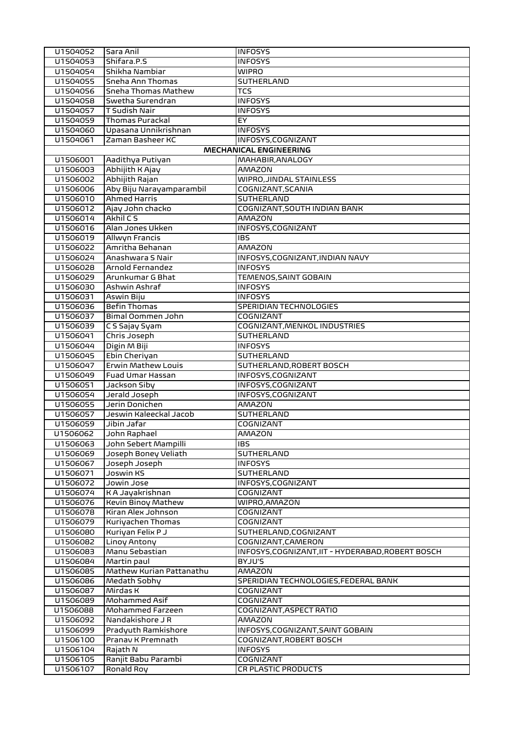| U1504052             | Sara Anil                       | <b>INFOSYS</b>                                    |
|----------------------|---------------------------------|---------------------------------------------------|
| U1504053             | Shifara.P.S                     | <b>INFOSYS</b>                                    |
| U1504054             | Shikha Nambiar                  | <b>WIPRO</b>                                      |
| U1504055             | Sneha Ann Thomas                | SUTHERLAND                                        |
| U1504056             | Sneha Thomas Mathew             | <b>TCS</b>                                        |
| U1504058             | Swetha Surendran                | <b>INFOSYS</b>                                    |
| U1504057             | T Sudish Nair                   | <b>INFOSYS</b>                                    |
| U1504059             | Thomas Purackal                 | <b>EY</b>                                         |
| U1504060             | Upasana Unnikrishnan            | <b>INFOSYS</b>                                    |
| U1504061             | Zaman Basheer KC                | INFOSYS, COGNIZANT                                |
|                      |                                 | <b>MECHANICAL ENGINEERING</b>                     |
| U1506001             | Aadithya Putiyan                | MAHABIR, ANALOGY                                  |
| U1506003             | Abhijith K Ajay                 | AMAZON                                            |
| U1506002             | Abhijith Rajan                  | WIPRO, JINDAL STAINLESS                           |
| U1506006             | Aby Biju Narayamparambil        | COGNIZANT, SCANIA                                 |
| U1506010             | <b>Ahmed Harris</b>             | SUTHERLAND                                        |
| U1506012             | Ajay John chacko                | COGNIZANT, SOUTH INDIAN BANK                      |
| U1506014             | Akhil C S                       | AMAZON                                            |
| U1506016             | Alan Jones Ukken                | INFOSYS, COGNIZANT                                |
| U1506019             | Allwyn Francis                  | <b>IBS</b>                                        |
| U1506022             | Amritha Behanan                 | <b>AMAZON</b>                                     |
| U1506024             | Anashwara S Nair                | INFOSYS, COGNIZANT, INDIAN NAVY                   |
| U1506028             | Arnold Fernandez                | <b>INFOSYS</b>                                    |
| U1506029             | Arunkumar G Bhat                | TEMENOS, SAINT GOBAIN                             |
| U1506030             | Ashwin Ashraf                   | <b>INFOSYS</b>                                    |
| U1506031             | Aswin Biju                      | <b>INFOSYS</b>                                    |
| U1506036             | <b>Befin Thomas</b>             | SPERIDIAN TECHNOLOGIES                            |
| U1506037             | Bimal Oommen John               | COGNIZANT                                         |
| U1506039             | C S Sajay Syam                  | COGNIZANT, MENKOL INDUSTRIES<br>SUTHERLAND        |
| U1506041<br>U1506044 | Chris Joseph<br>Digin M Biji    | <b>INFOSYS</b>                                    |
| U1506045             | Ebin Cheriyan                   | SUTHERLAND                                        |
| U1506047             | Erwin Mathew Louis              | SUTHERLAND, ROBERT BOSCH                          |
| U1506049             | Fuad Umar Hassan                | INFOSYS, COGNIZANT                                |
| U1506051             | Jackson Siby                    | INFOSYS, COGNIZANT                                |
| U1506054             | Jerald Joseph                   | INFOSYS, COGNIZANT                                |
| U1506055             | Jerin Donichen                  | <b>AMAZON</b>                                     |
| U1506057             | Jeswin Kaleeckal Jacob          | SUTHERLAND                                        |
| U1506059             | Jibin Jafar                     | COGNIZANT                                         |
| U1506062             | John Raphael                    | AMAZON                                            |
| U1506063             | John Sebert Mampilli            | <b>IBS</b>                                        |
| U1506069             | Joseph Boney Veliath            | SUTHERLAND                                        |
| U1506067             | Joseph Joseph                   | <b>INFOSYS</b>                                    |
| U1506071             | Joswin KS                       | SUTHERLAND                                        |
| U1506072             | Jowin Jose                      | INFOSYS, COGNIZANT                                |
| U1506074             | K A Jayakrishnan                | COGNIZANT                                         |
| U1506076             | Kevin Binoy Mathew              | WIPRO,AMAZON                                      |
| U1506078             | Kiran Alex Johnson              | COGNIZANT                                         |
| U1506079             | Kuriyachen Thomas               | COGNIZANT                                         |
| U1506080             | Kuriyan Felix P J               | SUTHERLAND, COGNIZANT                             |
| U1506082             | Linoy Antony                    | COGNIZANT, CAMERON                                |
| U1506083             | Manu Sebastian                  | INFOSYS, COGNIZANT, IIT - HYDERABAD, ROBERT BOSCH |
| U1506084             | Martin paul                     | BYJU'S                                            |
| U1506085             | Mathew Kurian Pattanathu        | AMAZON                                            |
| U1506086             | Medath Sobhy                    | SPERIDIAN TECHNOLOGIES, FEDERAL BANK              |
| U1506087             | Mirdas K                        | COGNIZANT                                         |
| U1506089             | Mohammed Asif                   | COGNIZANT                                         |
| U1506088             | Mohammed Farzeen                | COGNIZANT, ASPECT RATIO                           |
| U1506092             | Nandakishore J R                | AMAZON                                            |
| U1506099             | Pradyuth Ramkishore             | INFOSYS, COGNIZANT, SAINT GOBAIN                  |
| U1506100             | Pranav K Premnath               | COGNIZANT, ROBERT BOSCH                           |
| U1506104<br>U1506105 | Rajath N<br>Ranjit Babu Parambi | <b>INFOSYS</b><br>COGNIZANT                       |
| U1506107             | Ronald Roy                      | <b>CR PLASTIC PRODUCTS</b>                        |
|                      |                                 |                                                   |